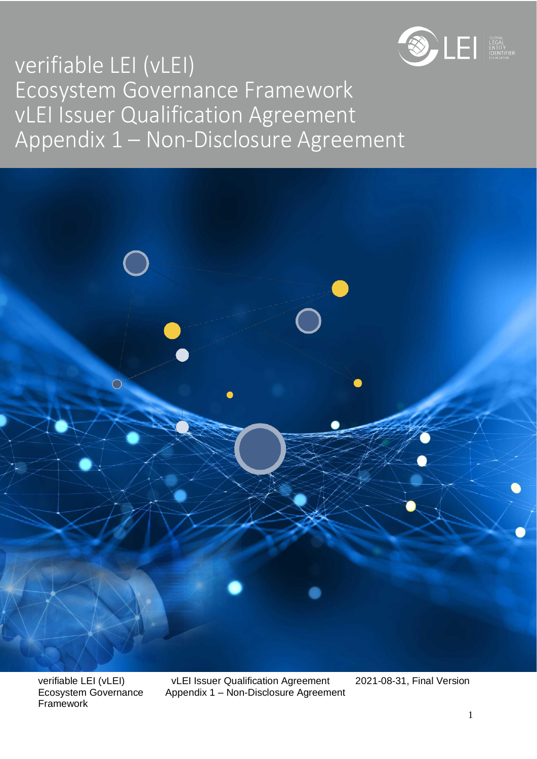

# verifiable LEI (vLEI) Ecosystem Governance Framework vLEI Issuer Qualification Agreement Appendix 1 – Non-Disclosure Agreement



Framework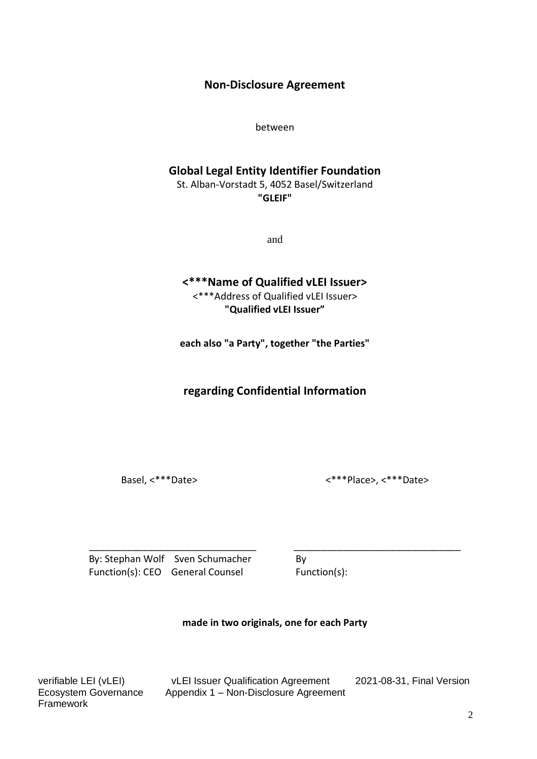#### **Non-Disclosure Agreement**

between

#### **Global Legal Entity Identifier Foundation**

St. Alban-Vorstadt 5, 4052 Basel/Switzerland **"GLEIF"**

and

# **<\*\*\*Name of Qualified vLEI Issuer>**

<\*\*\*Address of Qualified vLEI Issuer> **"Qualified vLEI Issuer"**

**each also "a Party", together "the Parties"**

**regarding Confidential Information**

Basel, <\*\*\*Date> <\*\*\*Place>, <\*\*\*Date>

\_\_\_\_\_\_\_\_\_\_\_\_\_\_\_\_\_\_\_\_\_\_\_\_\_\_\_\_\_\_\_ \_\_\_\_\_\_\_\_\_\_\_\_\_\_\_\_\_\_\_\_\_\_\_\_\_\_\_\_\_\_\_ By: Stephan Wolf Sven Schumacher By Function(s): CEO General Counsel Function(s):

**made in two originals, one for each Party**

Framework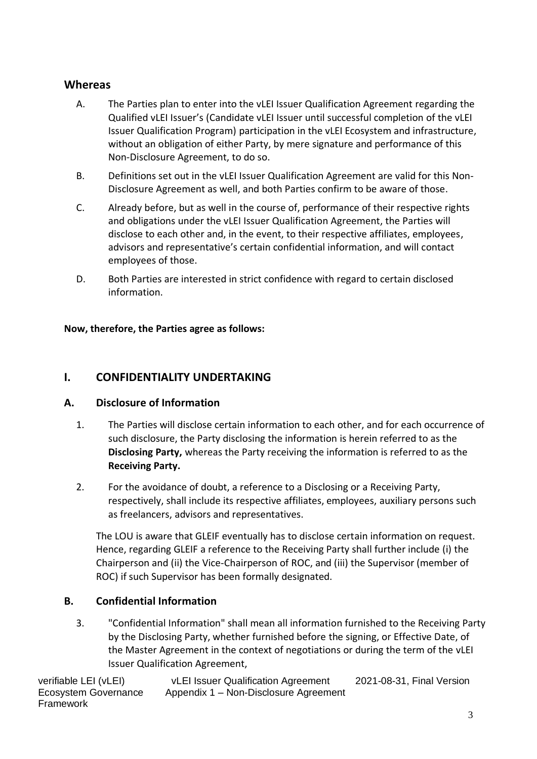## **Whereas**

- A. The Parties plan to enter into the vLEI Issuer Qualification Agreement regarding the Qualified vLEI Issuer's (Candidate vLEI Issuer until successful completion of the vLEI Issuer Qualification Program) participation in the vLEI Ecosystem and infrastructure, without an obligation of either Party, by mere signature and performance of this Non-Disclosure Agreement, to do so.
- B. Definitions set out in the vLEI Issuer Qualification Agreement are valid for this Non-Disclosure Agreement as well, and both Parties confirm to be aware of those.
- C. Already before, but as well in the course of, performance of their respective rights and obligations under the vLEI Issuer Qualification Agreement, the Parties will disclose to each other and, in the event, to their respective affiliates, employees, advisors and representative's certain confidential information, and will contact employees of those.
- D. Both Parties are interested in strict confidence with regard to certain disclosed information.

#### **Now, therefore, the Parties agree as follows:**

#### **I. CONFIDENTIALITY UNDERTAKING**

#### **A. Disclosure of Information**

- 1. The Parties will disclose certain information to each other, and for each occurrence of such disclosure, the Party disclosing the information is herein referred to as the **Disclosing Party,** whereas the Party receiving the information is referred to as the **Receiving Party.**
- 2. For the avoidance of doubt, a reference to a Disclosing or a Receiving Party, respectively, shall include its respective affiliates, employees, auxiliary persons such as freelancers, advisors and representatives.

The LOU is aware that GLEIF eventually has to disclose certain information on request. Hence, regarding GLEIF a reference to the Receiving Party shall further include (i) the Chairperson and (ii) the Vice-Chairperson of ROC, and (iii) the Supervisor (member of ROC) if such Supervisor has been formally designated.

#### **B. Confidential Information**

3. "Confidential Information" shall mean all information furnished to the Receiving Party by the Disclosing Party, whether furnished before the signing, or Effective Date, of the Master Agreement in the context of negotiations or during the term of the vLEI Issuer Qualification Agreement,

Framework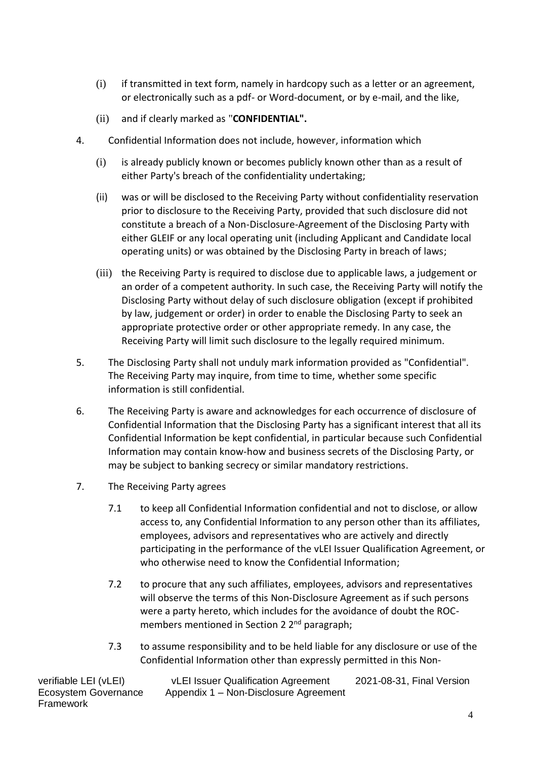- (i) if transmitted in text form, namely in hardcopy such as a letter or an agreement, or electronically such as a pdf- or Word-document, or by e-mail, and the like,
- (ii) and if clearly marked as "**CONFIDENTIAL".**
- 4. Confidential Information does not include, however, information which
	- (i) is already publicly known or becomes publicly known other than as a result of either Party's breach of the confidentiality undertaking;
	- (ii) was or will be disclosed to the Receiving Party without confidentiality reservation prior to disclosure to the Receiving Party, provided that such disclosure did not constitute a breach of a Non-Disclosure-Agreement of the Disclosing Party with either GLEIF or any local operating unit (including Applicant and Candidate local operating units) or was obtained by the Disclosing Party in breach of laws;
	- (iii) the Receiving Party is required to disclose due to applicable laws, a judgement or an order of a competent authority. In such case, the Receiving Party will notify the Disclosing Party without delay of such disclosure obligation (except if prohibited by law, judgement or order) in order to enable the Disclosing Party to seek an appropriate protective order or other appropriate remedy. In any case, the Receiving Party will limit such disclosure to the legally required minimum.
- 5. The Disclosing Party shall not unduly mark information provided as "Confidential". The Receiving Party may inquire, from time to time, whether some specific information is still confidential.
- 6. The Receiving Party is aware and acknowledges for each occurrence of disclosure of Confidential Information that the Disclosing Party has a significant interest that all its Confidential Information be kept confidential, in particular because such Confidential Information may contain know-how and business secrets of the Disclosing Party, or may be subject to banking secrecy or similar mandatory restrictions.
- 7. The Receiving Party agrees
	- 7.1 to keep all Confidential Information confidential and not to disclose, or allow access to, any Confidential Information to any person other than its affiliates, employees, advisors and representatives who are actively and directly participating in the performance of the vLEI Issuer Qualification Agreement, or who otherwise need to know the Confidential Information;
	- 7.2 to procure that any such affiliates, employees, advisors and representatives will observe the terms of this Non-Disclosure Agreement as if such persons were a party hereto, which includes for the avoidance of doubt the ROCmembers mentioned in Section 2 2<sup>nd</sup> paragraph;
	- 7.3 to assume responsibility and to be held liable for any disclosure or use of the Confidential Information other than expressly permitted in this Non-

Framework